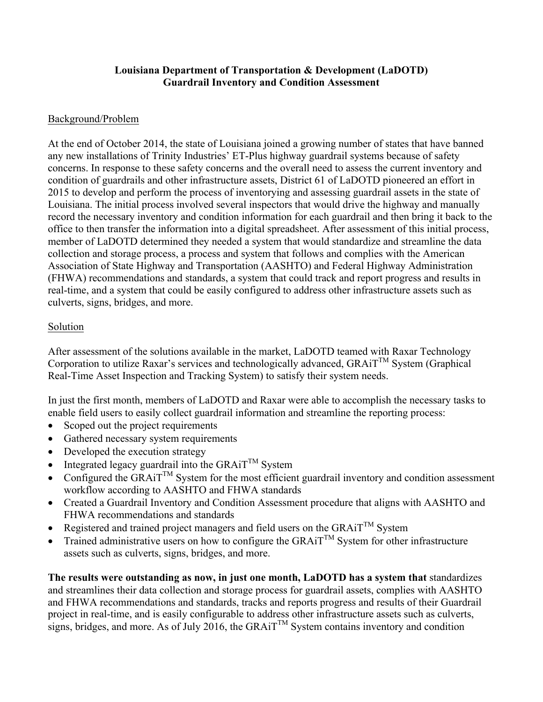## **Louisiana Department of Transportation & Development (LaDOTD) Guardrail Inventory and Condition Assessment**

## Background/Problem

At the end of October 2014, the state of Louisiana joined a growing number of states that have banned any new installations of Trinity Industries' ET-Plus highway guardrail systems because of safety concerns. In response to these safety concerns and the overall need to assess the current inventory and condition of guardrails and other infrastructure assets, District 61 of LaDOTD pioneered an effort in 2015 to develop and perform the process of inventorying and assessing guardrail assets in the state of Louisiana. The initial process involved several inspectors that would drive the highway and manually record the necessary inventory and condition information for each guardrail and then bring it back to the office to then transfer the information into a digital spreadsheet. After assessment of this initial process, member of LaDOTD determined they needed a system that would standardize and streamline the data collection and storage process, a process and system that follows and complies with the American Association of State Highway and Transportation (AASHTO) and Federal Highway Administration (FHWA) recommendations and standards, a system that could track and report progress and results in real-time, and a system that could be easily configured to address other infrastructure assets such as culverts, signs, bridges, and more.

## Solution

After assessment of the solutions available in the market, LaDOTD teamed with Raxar Technology Corporation to utilize Raxar's services and technologically advanced,  $GRAiT^{TM}$  System (Graphical Real-Time Asset Inspection and Tracking System) to satisfy their system needs.

In just the first month, members of LaDOTD and Raxar were able to accomplish the necessary tasks to enable field users to easily collect guardrail information and streamline the reporting process:

- Scoped out the project requirements
- Gathered necessary system requirements
- Developed the execution strategy
- Integrated legacy guardrail into the GRAiT<sup>TM</sup> System
- Configured the GRAiT<sup>TM</sup> System for the most efficient guardrail inventory and condition assessment workflow according to AASHTO and FHWA standards
- Created a Guardrail Inventory and Condition Assessment procedure that aligns with AASHTO and FHWA recommendations and standards
- Registered and trained project managers and field users on the GRAiT<sup>TM</sup> System
- Trained administrative users on how to configure the GRAiT<sup>TM</sup> System for other infrastructure assets such as culverts, signs, bridges, and more.

**The results were outstanding as now, in just one month, LaDOTD has a system that** standardizes and streamlines their data collection and storage process for guardrail assets, complies with AASHTO and FHWA recommendations and standards, tracks and reports progress and results of their Guardrail project in real-time, and is easily configurable to address other infrastructure assets such as culverts, signs, bridges, and more. As of July 2016, the GRAiT<sup>TM</sup> System contains inventory and condition